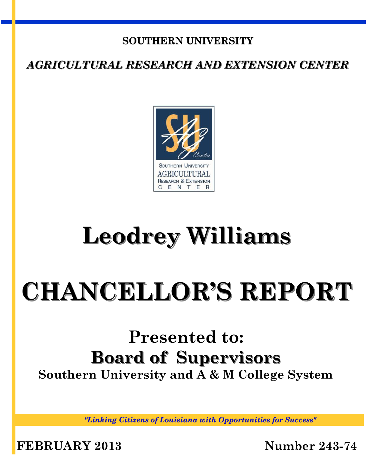## **SOUTHERN UNIVERSITY**

*AGRICULTURAL RESEARCH AND EXTENSION CENTER*



# **Leodrey Williams**

# **CHANCELLOR'S REPORT**

# **Presented to: Board of Supervisors Southern University and A & M College System**

*"Linking Citizens of Louisiana with Opportunities for Success"*

**FEBRUARY 2013 Number 243-74**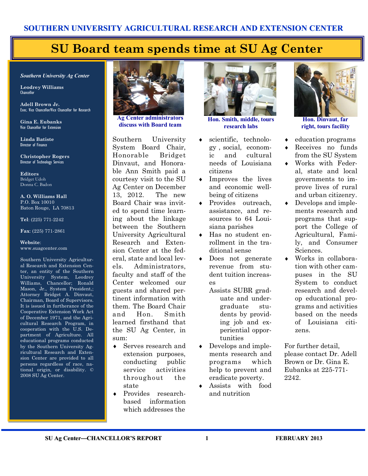# **SU Board team spends time at SU Ag Center**

#### *Southern University Ag Center*

**Leodrey Williams**  Chancellor

**Adell Brown Jr.**  Exec. Vice Chancellor/Vice Chancellor for Research

**Gina E. Eubanks** Vice Chancellor for Extension

**Linda Batiste** Director of Finance

**Christopher Rogers** Director of Technology Services

**Editors** Bridget Udoh Donna C. Badon

**A. O. Williams Hall** P.O. Box 10010 Baton Rouge, LA 70813

**Tel**: (225) 771-2242

**Fax**: (225) 771-2861

#### **Website**: www.suagcenter.com

Southern University Agricultural Research and Extension Center, an entity of the Southern University System, Leodrey Williams, Chancellor; Ronald Mason, Jr., System President,; Attorney Bridget A. Dinvaut, Chairman, Board of Supervisors. It is issued in furtherance of the Cooperative Extension Work Act of December 1971, and the Agricultural Research Program, in cooperation with the U.S. Department of Agriculture. All educational programs conducted by the Southern University Agricultural Research and Extension Center are provided to all persons regardless of race, national origin, or disability. © 2008 SU Ag Center.



**Ag Center administrators discuss with Board team**

Southern University System Board Chair, Honorable Bridget Dinvaut, and Honorable Ann Smith paid a courtesy visit to the SU Ag Center on December 13, 2012. The new Board Chair was invited to spend time learning about the linkage between the Southern University Agricultural Research and Extension Center at the federal, state and local levels. Administrators, faculty and staff of the Center welcomed our guests and shared pertinent information with them. The Board Chair and Hon. Smith learned firsthand that the SU Ag Center, in sum:

- Serves research and extension purposes, conducting public service activities throughout the state
- Provides researchbased information which addresses the



**Hon. Smith, middle, tours research labs**

- scientific, technology , social, economic and cultural needs of Louisiana citizens
- Improves the lives and economic wellbeing of citizens
- ◆ Provides outreach, assistance, and resources to 64 Louisiana parishes
- Has no student enrollment in the traditional sense
- Does not generate revenue from student tuition increases

Assists SUBR graduate and undergraduate students by providing job and experiential opportunities

- Develops and implements research and programs which help to prevent and eradicate poverty.
- Assists with food and nutrition



**right, tours facility**

- education programs
- Receives no funds from the SU System
- Works with Federal, state and local governments to improve lives of rural and urban citizenry.
- Develops and implements research and programs that support the College of Agricultural, Family, and Consumer Sciences.
- Works in collaboration with other campuses in the SU System to conduct research and develop educational programs and activities based on the needs of Louisiana citizens.

For further detail, please contact Dr. Adell Brown or Dr. Gina E. Eubanks at 225-771- 2242.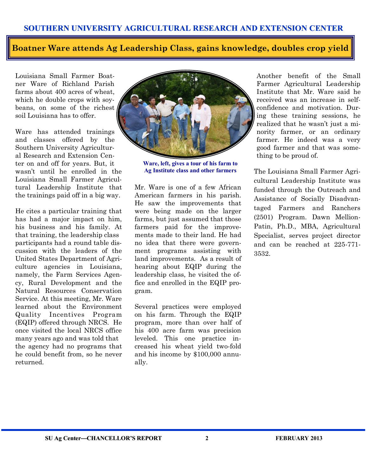## **Boatner Ware attends Ag Leadership Class, gains knowledge, doubles crop yield**

Louisiana Small Farmer Boatner Ware of Richland Parish farms about 400 acres of wheat, which he double crops with soybeans, on some of the richest soil Louisiana has to offer.

Ware has attended trainings and classes offered by the Southern University Agricultural Research and Extension Center on and off for years. But, it wasn't until he enrolled in the Louisiana Small Farmer Agricultural Leadership Institute that the trainings paid off in a big way.

He cites a particular training that has had a major impact on him, his business and his family. At that training, the leadership class participants had a round table discussion with the leaders of the United States Department of Agriculture agencies in Louisiana, namely, the Farm Services Agency, Rural Development and the Natural Resources Conservation Service. At this meeting, Mr. Ware learned about the Environment Quality Incentives Program (EQIP) offered through NRCS. He once visited the local NRCS office many years ago and was told that the agency had no programs that he could benefit from, so he never returned.



**Ware, left, gives a tour of his farm to Ag Institute class and other farmers**

Mr. Ware is one of a few African American farmers in his parish. He saw the improvements that were being made on the larger farms, but just assumed that those farmers paid for the improvements made to their land. He had no idea that there were government programs assisting with land improvements. As a result of hearing about EQIP during the leadership class, he visited the office and enrolled in the EQIP program.

Several practices were employed on his farm. Through the EQIP program, more than over half of his 400 acre farm was precision leveled. This one practice increased his wheat yield two-fold and his income by \$100,000 annually.

Another benefit of the Small Farmer Agricultural Leadership Institute that Mr. Ware said he received was an increase in selfconfidence and motivation. During these training sessions, he realized that he wasn't just a minority farmer, or an ordinary farmer. He indeed was a very good farmer and that was something to be proud of.

The Louisiana Small Farmer Agricultural Leadership Institute was funded through the Outreach and Assistance of Socially Disadvantaged Farmers and Ranchers (2501) Program. Dawn Mellion-Patin, Ph.D., MBA, Agricultural Specialist, serves project director and can be reached at 225-771- 3532.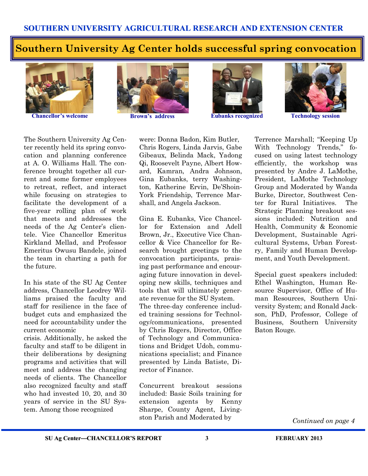## **Southern University Ag Center holds successful spring convocation**



**Chancellor's welcome <b>Brown's address Eubanks recognized Technology session** 







The Southern University Ag Center recently held its spring convocation and planning conference at A. O. Williams Hall. The conference brought together all current and some former employees to retreat, reflect, and interact while focusing on strategies to facilitate the development of a five-year rolling plan of work that meets and addresses the needs of the Ag Center's clientele. Vice Chancellor Emeritus Kirkland Mellad, and Professor Emeritus Owusu Bandele, joined the team in charting a path for the future.

In his state of the SU Ag Center address, Chancellor Leodrey Williams praised the faculty and staff for resilience in the face of budget cuts and emphasized the need for accountability under the current economic

crisis. Additionally, he asked the faculty and staff to be diligent in their deliberations by designing programs and activities that will meet and address the changing needs of clients. The Chancellor also recognized faculty and staff who had invested 10, 20, and 30 years of service in the SU System. Among those recognized

were: Donna Badon, Kim Butler, Chris Rogers, Linda Jarvis, Gabe Gibeaux, Belinda Mack, Yadong Qi, Roosevelt Payne, Albert Howard, Kamran, Andra Johnson, Gina Eubanks, terry Washington, Katherine Ervin, De'Shoin-York Friendship, Terrence Marshall, and Angela Jackson.

Gina E. Eubanks, Vice Chancellor for Extension and Adell Brown, Jr., Executive Vice Chancellor & Vice Chancellor for Research brought greetings to the convocation participants, praising past performance and encouraging future innovation in developing new skills, techniques and tools that will ultimately generate revenue for the SU System. The three-day conference included training sessions for Technology/communications, presented by Chris Rogers, Director, Office of Technology and Communications and Bridget Udoh, communications specialist; and Finance presented by Linda Batiste, Director of Finance.

Concurrent breakout sessions included: Basic Soils training for extension agents by Kenny Sharpe, County Agent, Livingston Parish and Moderated by

Terrence Marshall; "Keeping Up With Technology Trends," focused on using latest technology efficiently, the workshop was presented by Andre J. LaMothe, President, LaMothe Technology Group and Moderated by Wanda Burke, Director, Southwest Center for Rural Initiatives. The Strategic Planning breakout sessions included: Nutrition and Health, Community & Economic Development, Sustainable Agricultural Systems, Urban Forestry, Family and Human Development, and Youth Development.

Special guest speakers included: Ethel Washington, Human Resource Supervisor, Office of Human Resources, Southern University System; and Ronald Jackson, PhD, Professor, College of Business, Southern University Baton Rouge.

*Continued on page 4*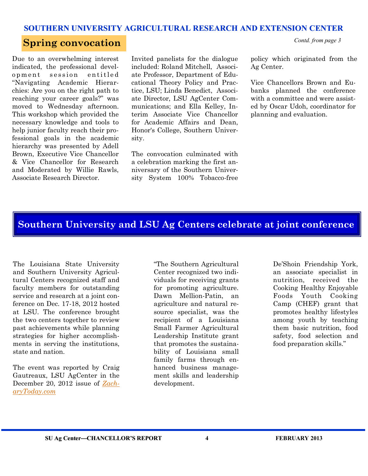### **Spring convocation**

Due to an overwhelming interest indicated, the professional development session entitled "Navigating Academic Hierarchies: Are you on the right path to reaching your career goals?" was moved to Wednesday afternoon. This workshop which provided the necessary knowledge and tools to help junior faculty reach their professional goals in the academic hierarchy was presented by Adell Brown, Executive Vice Chancellor & Vice Chancellor for Research and Moderated by Willie Rawls, Associate Research Director.

Invited panelists for the dialogue included: Roland Mitchell, Associate Professor, Department of Educational Theory Policy and Practice, LSU; Linda Benedict, Associate Director, LSU AgCenter Communications; and Ella Kelley, Interim Associate Vice Chancellor for Academic Affairs and Dean, Honor's College, Southern University.

The convocation culminated with a celebration marking the first anniversary of the Southern University System 100% Tobacco-free

policy which originated from the Ag Center.

*Contd. from page 3*

Vice Chancellors Brown and Eubanks planned the conference with a committee and were assisted by Oscar Udoh, coordinator for planning and evaluation.

### **Southern University and LSU Ag Centers celebrate at joint conference**

The Louisiana State University and Southern University Agricultural Centers recognized staff and faculty members for outstanding service and research at a joint conference on Dec. 17-18, 2012 hosted at LSU. The conference brought the two centers together to review past achievements while planning strategies for higher accomplishments in serving the institutions, state and nation.

The event was reported by Craig Gautreaux, LSU AgCenter in the December 20, 2012 issue of *[Zach](http://www.zacharytoday.com/view/full_story/21190470/article-LSU-AgCenter--Southern-fete-employees-at-combined-conference?)[aryToday.com](http://www.zacharytoday.com/view/full_story/21190470/article-LSU-AgCenter--Southern-fete-employees-at-combined-conference?)*

"The Southern Agricultural Center recognized two individuals for receiving grants for promoting agriculture. Dawn Mellion-Patin, an agriculture and natural resource specialist, was the recipient of a Louisiana Small Farmer Agricultural Leadership Institute grant that promotes the sustainability of Louisiana small family farms through enhanced business management skills and leadership development.

De'Shoin Friendship York, an associate specialist in nutrition, received the Cooking Healthy Enjoyable Foods Youth Cooking Camp (CHEF) grant that promotes healthy lifestyles among youth by teaching them basic nutrition, food safety, food selection and food preparation skills."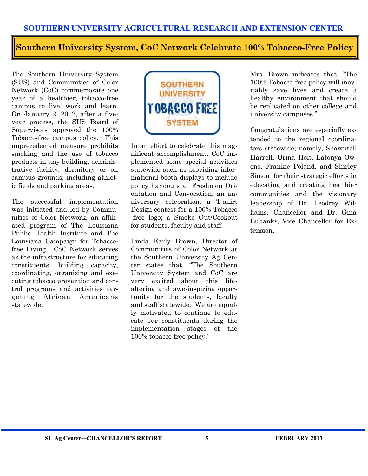**Southern University System, CoC Network Celebrate 100% Tobacco-Free Policy**

The Southern University System (SUS) and Communities of Color Network (CoC) commemorate one year of a healthier, tobacco-free campus to live, work and learn. On January 2, 2012, after a fiveyear process, the SUS Board of Supervisors approved the 100% Tobacco-free campus policy. This unprecedented measure prohibits smoking and the use of tobacco products in any building, administrative facility, dormitory or on campus grounds, including athletic fields and parking areas.

The successful implementation was initiated and led by Communities of Color Network, an affiliated program of The Louisiana Public Health Institute and The Louisiana Campaign for Tobaccofree Living. CoC Network serves as the infrastructure for educating constituents, building capacity, coordinating, organizing and executing tobacco prevention and control programs and activities targeting African Americans statewide.



In an effort to celebrate this magnificent accomplishment, CoC implemented some special activities statewide such as providing informational booth displays to include policy handouts at Freshmen Orientation and Convocation; an anniversary celebration; a T-shirt Design contest for a 100% Tobacco -free logo; a Smoke Out/Cookout for students, faculty and staff.

Linda Early Brown, Director of Communities of Color Network at the Southern University Ag Center states that, "The Southern University System and CoC are very excited about this lifealtering and awe-inspiring opportunity for the students, faculty and staff statewide. We are equally motivated to continue to educate our constituents during the implementation stages of the 100% tobacco-free policy."

Mrs. Brown indicates that, "The 100% Tobacco-free policy will inevitably save lives and create a healthy environment that should be replicated on other college and university campuses."

Congratulations are especially extended to the regional coordinators statewide; namely, Shawntell Harrell, Urina Holt, Latonya Owens, Frankie Poland, and Shirley Simon for their strategic efforts in educating and creating healthier communities and the visionary leadership of Dr. Leodrey Williams, Chancellor and Dr. Gina Eubanks, Vice Chancellor for Extension.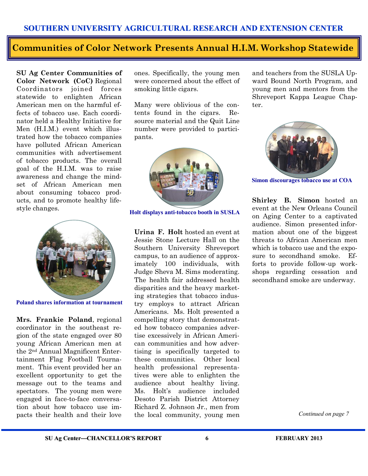## **Communities of Color Network Presents Annual H.I.M. Workshop Statewide**

**SU Ag Center Communities of Color Network (CoC)** Regional Coordinators joined forces statewide to enlighten African American men on the harmful effects of tobacco use. Each coordinator held a Healthy Initiative for Men (H.I.M.) event which illustrated how the tobacco companies have polluted African American communities with advertisement of tobacco products. The overall goal of the H.I.M. was to raise awareness and change the mindset of African American men about consuming tobacco products, and to promote healthy lifestyle changes.



**Poland shares information at tournament**

**Mrs. Frankie Poland**, regional coordinator in the southeast region of the state engaged over 80 young African American men at the 2nd Annual Magnificent Entertainment Flag Football Tournament. This event provided her an excellent opportunity to get the message out to the teams and spectators. The young men were engaged in face-to-face conversation about how tobacco use impacts their health and their love ones. Specifically, the young men were concerned about the effect of smoking little cigars.

Many were oblivious of the contents found in the cigars. Resource material and the Quit Line number were provided to participants.



**Holt displays anti-tobacco booth in SUSLA**

**Urina F. Holt** hosted an event at Jessie Stone Lecture Hall on the Southern University Shreveport campus, to an audience of approximately 100 individuals, with Judge Sheva M. Sims moderating. The health fair addressed health disparities and the heavy marketing strategies that tobacco industry employs to attract African Americans. Ms. Holt presented a compelling story that demonstrated how tobacco companies advertise excessively in African American communities and how advertising is specifically targeted to these communities. Other local health professional representatives were able to enlighten the audience about healthy living. Ms. Holt's audience included Desoto Parish District Attorney Richard Z. Johnson Jr., men from the local community, young men

and teachers from the SUSLA Upward Bound North Program, and young men and mentors from the Shreveport Kappa League Chapter.



**Simon discourages tobacco use at COA** 

**Shirley B. Simon** hosted an event at the New Orleans Council on Aging Center to a captivated audience. Simon presented information about one of the biggest threats to African American men which is to baccouse and the exposure to secondhand smoke. Efforts to provide follow-up workshops regarding cessation and secondhand smoke are underway.

*Continued on page 7*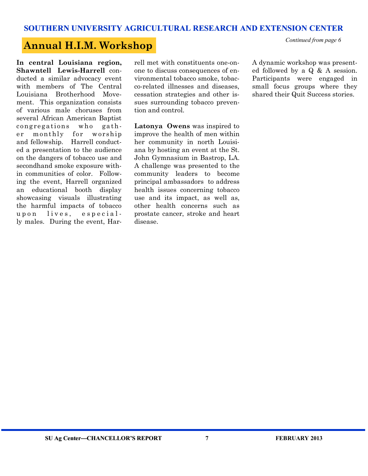# **Annual H.I.M. Workshop** *Continued from page 6*

**In central Louisiana region, Shawntell Lewis-Harrell** conducted a similar advocacy event with members of The Central Louisiana Brotherhood Movement. This organization consists of various male choruses from several African American Baptist congregations who gather monthly for worship and fellowship. Harrell conducted a presentation to the audience on the dangers of tobacco use and secondhand smoke exposure within communities of color. Following the event, Harrell organized an educational booth display showcasing visuals illustrating the harmful impacts of tobacco upon lives, especially males. During the event, Harrell met with constituents one-onone to discuss consequences of environmental tobacco smoke, tobacco-related illnesses and diseases, cessation strategies and other issues surrounding tobacco prevention and control.

**Latonya Owens** was inspired to improve the health of men within her community in north Louisiana by hosting an event at the St. John Gymnasium in Bastrop, LA. A challenge was presented to the community leaders to become principal ambassadors to address health issues concerning tobacco use and its impact, as well as, other health concerns such as prostate cancer, stroke and heart disease.

A dynamic workshop was presented followed by a Q & A session. Participants were engaged in small focus groups where they shared their Quit Success stories.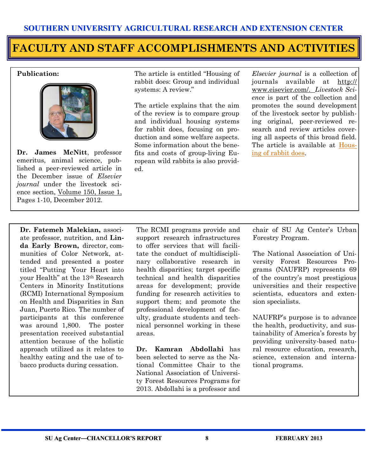# **FACULTY AND STAFF ACCOMPLISHMENTS AND ACTIVITIES**

#### **Publication:**



**Dr. James McNitt**, professor emeritus, animal science, published a peer-reviewed article in the December issue of *Elsevier journal* under the livestock science section, [Volume 150, Issue 1,](http://www.journals.elsevierhealth.com/periodicals/livsci/issues?issue_key=S1871-1413(12)X0012-X)  Pages 1-10, December 2012.

The article is entitled "Housing of rabbit does: Group and individual systems: A review."

The article explains that the aim of the review is to compare group and individual housing systems for rabbit does, focusing on production and some welfare aspects. Some information about the benefits and costs of group-living European wild rabbits is also provided.

*Elsevier journal* is a collection of journals available at [http://](http://www.eisevier.com/) [www.eisevier.com/.](http://www.eisevier.com/) *Livestock Science* is part of the collection and promotes the sound development of the livestock sector by publishing original, peer-reviewed research and review articles covering all aspects of this broad field. The article is available at [Hous](http://www.journals.elsevierhealth.com/periodicals/livsci/article/S1871-1413(12)00363-0/abstract)[ing of rabbit does.](http://www.journals.elsevierhealth.com/periodicals/livsci/article/S1871-1413(12)00363-0/abstract)

**Dr. Fatemeh Malekian,** associate professor, nutrition, and **Linda Early Brown,** director, communities of Color Network, attended and presented a poster titled "Putting Your Heart into your Health" at the 13th Research Centers in Minority Institutions (RCMI) International Symposium on Health and Disparities in San Juan, Puerto Rico. The number of participants at this conference was around 1,800. The poster presentation received substantial attention because of the holistic approach utilized as it relates to healthy eating and the use of tobacco products during cessation.

The RCMI programs provide and support research infrastructures to offer services that will facilitate the conduct of multidisciplinary collaborative research in health disparities; target specific technical and health disparities areas for development; provide funding for research activities to support them; and promote the professional development of faculty, graduate students and technical personnel working in these areas.

**Dr. Kamran Abdollahi** has been selected to serve as the National Committee Chair to the National Association of University Forest Resources Programs for 2013. Abdollahi is a professor and

chair of SU Ag Center's Urban Forestry Program.

The National Association of University Forest Resources Programs (NAUFRP) represents 69 of the country's most prestigious universities and their respective scientists, educators and extension specialists.

NAUFRP's purpose is to advance the health, productivity, and sustainability of America's forests by providing university-based natural resource education, research, science, extension and international programs.